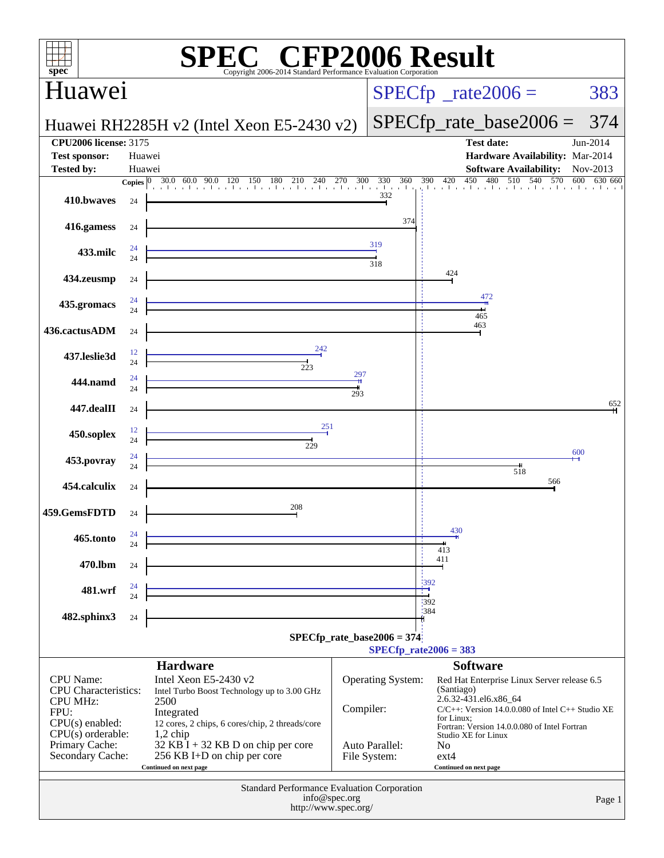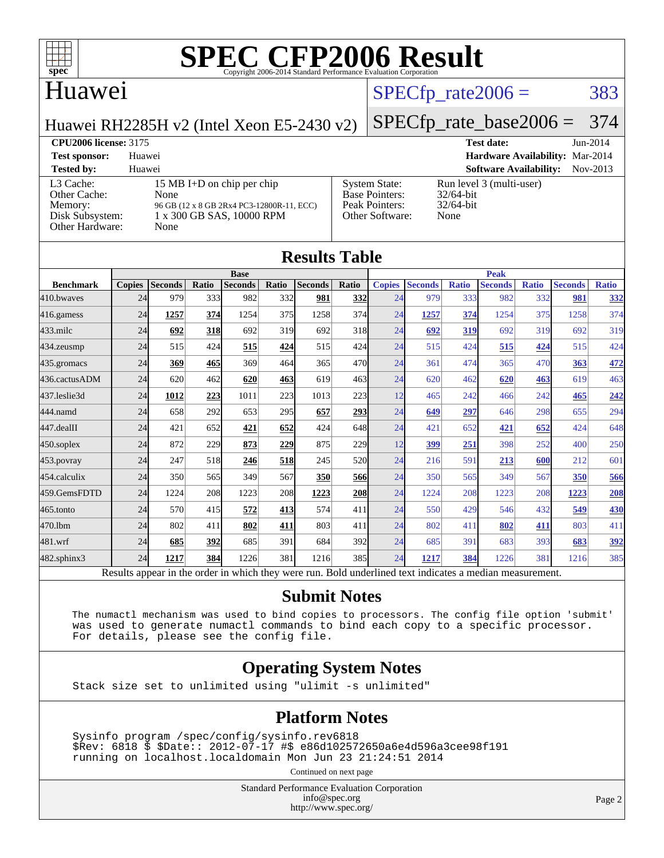

#### Huawei

## $SPECTp_rate2006 = 383$

[Peak Pointers:](http://www.spec.org/auto/cpu2006/Docs/result-fields.html#PeakPointers) 32/64-bit [Other Software:](http://www.spec.org/auto/cpu2006/Docs/result-fields.html#OtherSoftware) None

Huawei RH2285H v2 (Intel Xeon E5-2430 v2)

### [SPECfp\\_rate\\_base2006 =](http://www.spec.org/auto/cpu2006/Docs/result-fields.html#SPECfpratebase2006) 374

**[CPU2006 license:](http://www.spec.org/auto/cpu2006/Docs/result-fields.html#CPU2006license)** 3175 **[Test date:](http://www.spec.org/auto/cpu2006/Docs/result-fields.html#Testdate)** Jun-2014 **[Test sponsor:](http://www.spec.org/auto/cpu2006/Docs/result-fields.html#Testsponsor)** Huawei **[Hardware Availability:](http://www.spec.org/auto/cpu2006/Docs/result-fields.html#HardwareAvailability)** Mar-2014 **[Tested by:](http://www.spec.org/auto/cpu2006/Docs/result-fields.html#Testedby)** Huawei **[Software Availability:](http://www.spec.org/auto/cpu2006/Docs/result-fields.html#SoftwareAvailability)** Nov-2013 [System State:](http://www.spec.org/auto/cpu2006/Docs/result-fields.html#SystemState) Run level 3 (multi-user)<br>Base Pointers: 32/64-bit [Base Pointers:](http://www.spec.org/auto/cpu2006/Docs/result-fields.html#BasePointers)

#### [L3 Cache:](http://www.spec.org/auto/cpu2006/Docs/result-fields.html#L3Cache) 15 MB I+D on chip per chip<br>Other Cache: None [Other Cache:](http://www.spec.org/auto/cpu2006/Docs/result-fields.html#OtherCache) [Memory:](http://www.spec.org/auto/cpu2006/Docs/result-fields.html#Memory) 96 GB (12 x 8 GB 2Rx4 PC3-12800R-11, ECC) [Disk Subsystem:](http://www.spec.org/auto/cpu2006/Docs/result-fields.html#DiskSubsystem) 1 x 300 GB SAS, 10000 RPM [Other Hardware:](http://www.spec.org/auto/cpu2006/Docs/result-fields.html#OtherHardware) None

| <b>Results Table</b>                                                                                     |               |                |       |                |       |                |            |               |                |              |                |              |                |              |
|----------------------------------------------------------------------------------------------------------|---------------|----------------|-------|----------------|-------|----------------|------------|---------------|----------------|--------------|----------------|--------------|----------------|--------------|
|                                                                                                          | <b>Base</b>   |                |       |                |       | <b>Peak</b>    |            |               |                |              |                |              |                |              |
| <b>Benchmark</b>                                                                                         | <b>Copies</b> | <b>Seconds</b> | Ratio | <b>Seconds</b> | Ratio | <b>Seconds</b> | Ratio      | <b>Copies</b> | <b>Seconds</b> | <b>Ratio</b> | <b>Seconds</b> | <b>Ratio</b> | <b>Seconds</b> | <b>Ratio</b> |
| 410.bwayes                                                                                               | 24            | 979            | 333   | 982            | 332   | 981            | <b>332</b> | 24            | 979            | 333          | 982            | 332          | 981            | <u>332</u>   |
| 416.gamess                                                                                               | 24            | 1257           | 374   | 1254           | 375   | 1258           | 374        | 24            | 1257           | 374          | 1254           | 375          | 1258           | 374          |
| $433$ .milc                                                                                              | 24            | 692            | 318   | 692            | 319   | 692            | 318        | 24            | 692            | 319          | 692            | 319          | 692            | 319          |
| 434.zeusmp                                                                                               | 24            | 515            | 424   | 515            | 424   | 515            | 424        | 24            | 515            | 424          | 515            | 424          | 515            | 424          |
| 435.gromacs                                                                                              | 24            | 369            | 465   | 369            | 464   | 365            | 470        | 24            | 361            | 474          | 365            | 470          | 363            | 472          |
| 436.cactusADM                                                                                            | 24            | 620            | 462   | 620            | 463   | 619            | 463        | 24            | 620            | 462          | 620            | 463          | 619            | 463          |
| 437.leslie3d                                                                                             | 24            | 1012           | 223   | 1011           | 223   | 1013           | 223        | 12            | 465            | 242          | 466            | 242          | 465            | 242          |
| 444.namd                                                                                                 | 24            | 658            | 292   | 653            | 295   | 657            | 293        | 24            | 649            | 297          | 646            | 298          | 655            | 294          |
| 447.dealII                                                                                               | 24            | 421            | 652   | 421            | 652   | 424            | 648        | 24            | 421            | 652          | 421            | 652          | 424            | 648          |
| $450$ .soplex                                                                                            | 24            | 872            | 229   | 873            | 229   | 875            | <b>229</b> | 12            | 399            | 251          | 398            | 252          | 400            | 250          |
| 453.povray                                                                                               | 24            | 247            | 518   | 246            | 518   | 245            | 520l       | 24            | 216            | 591          | 213            | 600          | 212            | 601          |
| 454.calculix                                                                                             | 24            | 350            | 565   | 349            | 567   | 350            | 566        | 24            | 350            | 565          | 349            | 567          | 350            | 566          |
| 459.GemsFDTD                                                                                             | 24            | 1224           | 208   | 1223           | 208   | 1223           | <b>208</b> | 24            | 1224           | 208          | 1223           | 208          | 1223           | 208          |
| 465.tonto                                                                                                | 24            | 570            | 415   | 572            | 413   | 574            | 411        | 24            | 550            | 429          | 546            | 432          | 549            | <b>430</b>   |
| 470.1bm                                                                                                  | 24            | 802            | 411   | 802            | 411   | 803            | 411        | 24            | 802            | 411          | 802            | 411          | 803            | 411          |
| 481.wrf                                                                                                  | 24            | 685            | 392   | 685            | 391   | 684            | 392        | 24            | 685            | 391          | 683            | 393          | 683            | 392          |
| 482.sphinx3                                                                                              | 24            | 1217           | 384   | 1226           | 381   | 1216           | 385        | 24            | 1217           | 384          | 1226           | 381          | 1216           | 385          |
| Results appear in the order in which they were run. Bold underlined text indicates a median measurement. |               |                |       |                |       |                |            |               |                |              |                |              |                |              |

#### **[Submit Notes](http://www.spec.org/auto/cpu2006/Docs/result-fields.html#SubmitNotes)**

 The numactl mechanism was used to bind copies to processors. The config file option 'submit' was used to generate numactl commands to bind each copy to a specific processor. For details, please see the config file.

#### **[Operating System Notes](http://www.spec.org/auto/cpu2006/Docs/result-fields.html#OperatingSystemNotes)**

Stack size set to unlimited using "ulimit -s unlimited"

#### **[Platform Notes](http://www.spec.org/auto/cpu2006/Docs/result-fields.html#PlatformNotes)**

 Sysinfo program /spec/config/sysinfo.rev6818 \$Rev: 6818 \$ \$Date:: 2012-07-17 #\$ e86d102572650a6e4d596a3cee98f191 running on localhost.localdomain Mon Jun 23 21:24:51 2014

Continued on next page

Standard Performance Evaluation Corporation [info@spec.org](mailto:info@spec.org) <http://www.spec.org/>

Page 2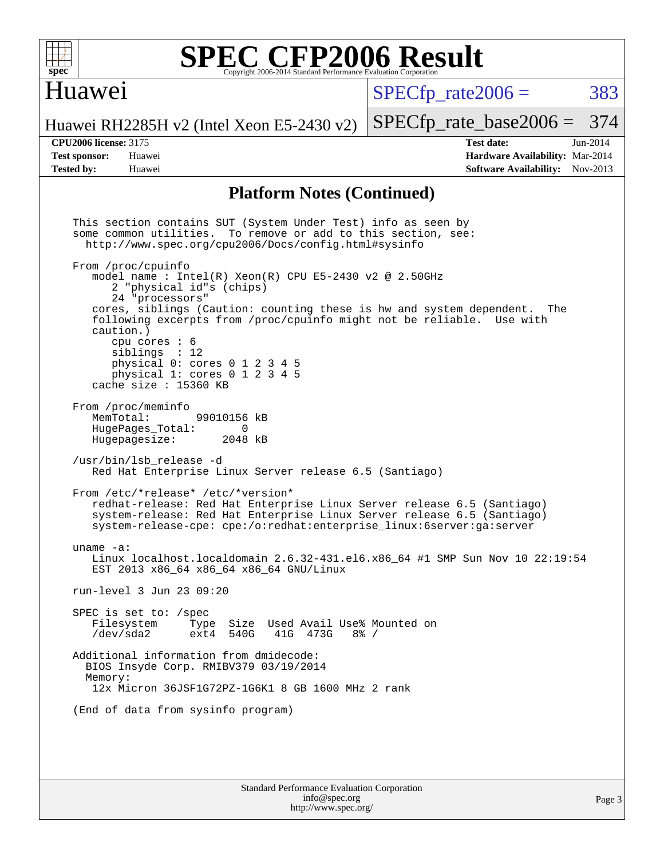

### Huawei

 $SPECTp\_rate2006 = 383$ 

[SPECfp\\_rate\\_base2006 =](http://www.spec.org/auto/cpu2006/Docs/result-fields.html#SPECfpratebase2006) 374

Huawei RH2285H v2 (Intel Xeon E5-2430 v2)

**[Tested by:](http://www.spec.org/auto/cpu2006/Docs/result-fields.html#Testedby)** Huawei **[Software Availability:](http://www.spec.org/auto/cpu2006/Docs/result-fields.html#SoftwareAvailability)** Nov-2013

**[CPU2006 license:](http://www.spec.org/auto/cpu2006/Docs/result-fields.html#CPU2006license)** 3175 **[Test date:](http://www.spec.org/auto/cpu2006/Docs/result-fields.html#Testdate)** Jun-2014 **[Test sponsor:](http://www.spec.org/auto/cpu2006/Docs/result-fields.html#Testsponsor)** Huawei **[Hardware Availability:](http://www.spec.org/auto/cpu2006/Docs/result-fields.html#HardwareAvailability)** Mar-2014

#### **[Platform Notes \(Continued\)](http://www.spec.org/auto/cpu2006/Docs/result-fields.html#PlatformNotes)**

Standard Performance Evaluation Corporation This section contains SUT (System Under Test) info as seen by some common utilities. To remove or add to this section, see: <http://www.spec.org/cpu2006/Docs/config.html#sysinfo> From /proc/cpuinfo model name : Intel $(R)$  Xeon $(R)$  CPU E5-2430 v2 @ 2.50GHz 2 "physical id"s (chips) 24 "processors" cores, siblings (Caution: counting these is hw and system dependent. The following excerpts from /proc/cpuinfo might not be reliable. Use with caution.) cpu cores : 6 siblings : 12 physical 0: cores 0 1 2 3 4 5 physical 1: cores 0 1 2 3 4 5 cache size : 15360 KB From /proc/meminfo<br>MemTotal: 99010156 kB HugePages\_Total: 0 Hugepagesize: 2048 kB /usr/bin/lsb\_release -d Red Hat Enterprise Linux Server release 6.5 (Santiago) From /etc/\*release\* /etc/\*version\* redhat-release: Red Hat Enterprise Linux Server release 6.5 (Santiago) system-release: Red Hat Enterprise Linux Server release 6.5 (Santiago) system-release-cpe: cpe:/o:redhat:enterprise\_linux:6server:ga:server uname -a: Linux localhost.localdomain 2.6.32-431.el6.x86\_64 #1 SMP Sun Nov 10 22:19:54 EST 2013 x86\_64 x86\_64 x86\_64 GNU/Linux run-level 3 Jun 23 09:20 SPEC is set to: /spec<br>Filesystem Type Type Size Used Avail Use% Mounted on /dev/sda2 ext4 540G 41G 473G 8% / Additional information from dmidecode: BIOS Insyde Corp. RMIBV379 03/19/2014 Memory: 12x Micron 36JSF1G72PZ-1G6K1 8 GB 1600 MHz 2 rank (End of data from sysinfo program)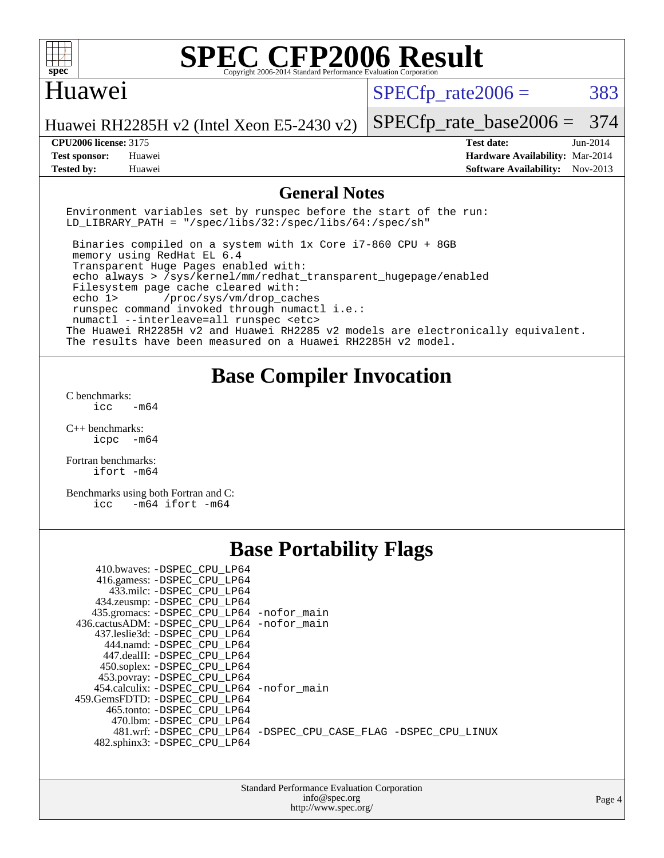

#### Huawei

 $SPECTp\_rate2006 = 383$ 

Huawei RH2285H v2 (Intel Xeon E5-2430 v2)

#### **[CPU2006 license:](http://www.spec.org/auto/cpu2006/Docs/result-fields.html#CPU2006license)** 3175 **[Test date:](http://www.spec.org/auto/cpu2006/Docs/result-fields.html#Testdate)** Jun-2014

[SPECfp\\_rate\\_base2006 =](http://www.spec.org/auto/cpu2006/Docs/result-fields.html#SPECfpratebase2006) 374

**[Test sponsor:](http://www.spec.org/auto/cpu2006/Docs/result-fields.html#Testsponsor)** Huawei **[Hardware Availability:](http://www.spec.org/auto/cpu2006/Docs/result-fields.html#HardwareAvailability)** Mar-2014 **[Tested by:](http://www.spec.org/auto/cpu2006/Docs/result-fields.html#Testedby)** Huawei **[Software Availability:](http://www.spec.org/auto/cpu2006/Docs/result-fields.html#SoftwareAvailability)** Nov-2013

#### **[General Notes](http://www.spec.org/auto/cpu2006/Docs/result-fields.html#GeneralNotes)**

Environment variables set by runspec before the start of the run: LD LIBRARY PATH = "/spec/libs/32:/spec/libs/64:/spec/sh"

 Binaries compiled on a system with 1x Core i7-860 CPU + 8GB memory using RedHat EL 6.4 Transparent Huge Pages enabled with: echo always > /sys/kernel/mm/redhat\_transparent\_hugepage/enabled Filesystem page cache cleared with: echo 1> /proc/sys/vm/drop\_caches runspec command invoked through numactl i.e.: numactl --interleave=all runspec <etc> The Huawei RH2285H v2 and Huawei RH2285 v2 models are electronically equivalent. The results have been measured on a Huawei RH2285H v2 model.

### **[Base Compiler Invocation](http://www.spec.org/auto/cpu2006/Docs/result-fields.html#BaseCompilerInvocation)**

[C benchmarks](http://www.spec.org/auto/cpu2006/Docs/result-fields.html#Cbenchmarks): icc  $-m64$ 

[C++ benchmarks:](http://www.spec.org/auto/cpu2006/Docs/result-fields.html#CXXbenchmarks) [icpc -m64](http://www.spec.org/cpu2006/results/res2014q3/cpu2006-20140625-30003.flags.html#user_CXXbase_intel_icpc_64bit_bedb90c1146cab66620883ef4f41a67e)

[Fortran benchmarks](http://www.spec.org/auto/cpu2006/Docs/result-fields.html#Fortranbenchmarks): [ifort -m64](http://www.spec.org/cpu2006/results/res2014q3/cpu2006-20140625-30003.flags.html#user_FCbase_intel_ifort_64bit_ee9d0fb25645d0210d97eb0527dcc06e)

[Benchmarks using both Fortran and C](http://www.spec.org/auto/cpu2006/Docs/result-fields.html#BenchmarksusingbothFortranandC): [icc -m64](http://www.spec.org/cpu2006/results/res2014q3/cpu2006-20140625-30003.flags.html#user_CC_FCbase_intel_icc_64bit_0b7121f5ab7cfabee23d88897260401c) [ifort -m64](http://www.spec.org/cpu2006/results/res2014q3/cpu2006-20140625-30003.flags.html#user_CC_FCbase_intel_ifort_64bit_ee9d0fb25645d0210d97eb0527dcc06e)

## **[Base Portability Flags](http://www.spec.org/auto/cpu2006/Docs/result-fields.html#BasePortabilityFlags)**

| 410.bwaves: -DSPEC_CPU LP64                |                                                                |
|--------------------------------------------|----------------------------------------------------------------|
| 416.gamess: -DSPEC_CPU_LP64                |                                                                |
| 433.milc: -DSPEC CPU LP64                  |                                                                |
| 434.zeusmp: -DSPEC_CPU_LP64                |                                                                |
| 435.gromacs: -DSPEC_CPU_LP64 -nofor_main   |                                                                |
| 436.cactusADM: -DSPEC CPU LP64 -nofor main |                                                                |
| 437.leslie3d: -DSPEC CPU LP64              |                                                                |
| 444.namd: -DSPEC CPU LP64                  |                                                                |
| 447.dealII: -DSPEC CPU LP64                |                                                                |
| 450.soplex: -DSPEC_CPU_LP64                |                                                                |
| 453.povray: -DSPEC_CPU_LP64                |                                                                |
| 454.calculix: -DSPEC CPU LP64 -nofor main  |                                                                |
| 459.GemsFDTD: -DSPEC CPU LP64              |                                                                |
| 465.tonto: - DSPEC CPU LP64                |                                                                |
| 470.1bm: - DSPEC CPU LP64                  |                                                                |
|                                            | 481.wrf: -DSPEC CPU_LP64 -DSPEC_CPU_CASE_FLAG -DSPEC_CPU_LINUX |
| 482.sphinx3: -DSPEC CPU LP64               |                                                                |

| <b>Standard Performance Evaluation Corporation</b> |
|----------------------------------------------------|
| info@spec.org                                      |
| http://www.spec.org/                               |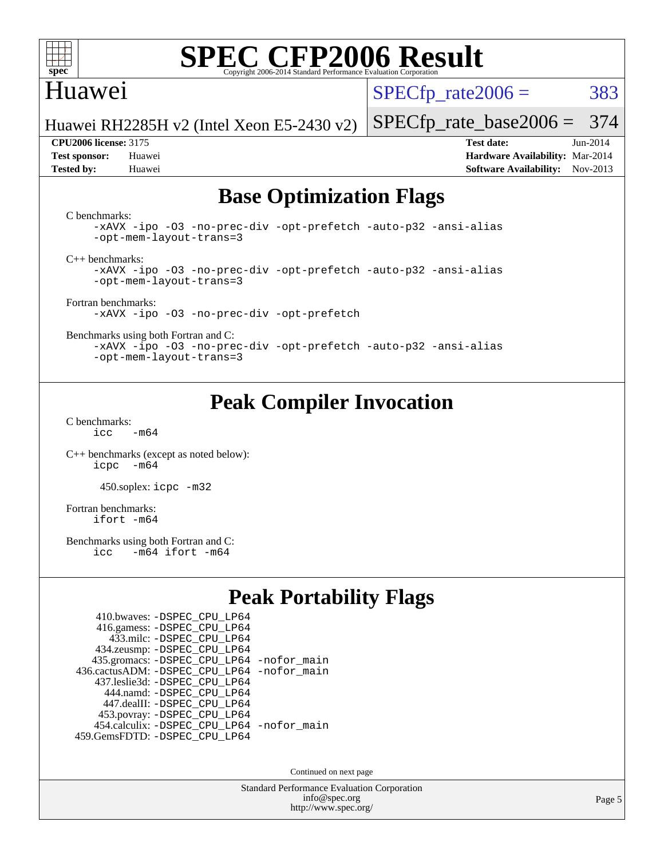

### Huawei

 $SPECTp\_rate2006 = 383$ 

Huawei RH2285H v2 (Intel Xeon E5-2430 v2)

**[Tested by:](http://www.spec.org/auto/cpu2006/Docs/result-fields.html#Testedby)** Huawei **[Software Availability:](http://www.spec.org/auto/cpu2006/Docs/result-fields.html#SoftwareAvailability)** Nov-2013

[SPECfp\\_rate\\_base2006 =](http://www.spec.org/auto/cpu2006/Docs/result-fields.html#SPECfpratebase2006) 374 **[CPU2006 license:](http://www.spec.org/auto/cpu2006/Docs/result-fields.html#CPU2006license)** 3175 **[Test date:](http://www.spec.org/auto/cpu2006/Docs/result-fields.html#Testdate)** Jun-2014 **[Test sponsor:](http://www.spec.org/auto/cpu2006/Docs/result-fields.html#Testsponsor)** Huawei **[Hardware Availability:](http://www.spec.org/auto/cpu2006/Docs/result-fields.html#HardwareAvailability)** Mar-2014

## **[Base Optimization Flags](http://www.spec.org/auto/cpu2006/Docs/result-fields.html#BaseOptimizationFlags)**

[C benchmarks](http://www.spec.org/auto/cpu2006/Docs/result-fields.html#Cbenchmarks):

[-xAVX](http://www.spec.org/cpu2006/results/res2014q3/cpu2006-20140625-30003.flags.html#user_CCbase_f-xAVX) [-ipo](http://www.spec.org/cpu2006/results/res2014q3/cpu2006-20140625-30003.flags.html#user_CCbase_f-ipo) [-O3](http://www.spec.org/cpu2006/results/res2014q3/cpu2006-20140625-30003.flags.html#user_CCbase_f-O3) [-no-prec-div](http://www.spec.org/cpu2006/results/res2014q3/cpu2006-20140625-30003.flags.html#user_CCbase_f-no-prec-div) [-opt-prefetch](http://www.spec.org/cpu2006/results/res2014q3/cpu2006-20140625-30003.flags.html#user_CCbase_f-opt-prefetch) [-auto-p32](http://www.spec.org/cpu2006/results/res2014q3/cpu2006-20140625-30003.flags.html#user_CCbase_f-auto-p32) [-ansi-alias](http://www.spec.org/cpu2006/results/res2014q3/cpu2006-20140625-30003.flags.html#user_CCbase_f-ansi-alias) [-opt-mem-layout-trans=3](http://www.spec.org/cpu2006/results/res2014q3/cpu2006-20140625-30003.flags.html#user_CCbase_f-opt-mem-layout-trans_a7b82ad4bd7abf52556d4961a2ae94d5)

[C++ benchmarks:](http://www.spec.org/auto/cpu2006/Docs/result-fields.html#CXXbenchmarks)

[-xAVX](http://www.spec.org/cpu2006/results/res2014q3/cpu2006-20140625-30003.flags.html#user_CXXbase_f-xAVX) [-ipo](http://www.spec.org/cpu2006/results/res2014q3/cpu2006-20140625-30003.flags.html#user_CXXbase_f-ipo) [-O3](http://www.spec.org/cpu2006/results/res2014q3/cpu2006-20140625-30003.flags.html#user_CXXbase_f-O3) [-no-prec-div](http://www.spec.org/cpu2006/results/res2014q3/cpu2006-20140625-30003.flags.html#user_CXXbase_f-no-prec-div) [-opt-prefetch](http://www.spec.org/cpu2006/results/res2014q3/cpu2006-20140625-30003.flags.html#user_CXXbase_f-opt-prefetch) [-auto-p32](http://www.spec.org/cpu2006/results/res2014q3/cpu2006-20140625-30003.flags.html#user_CXXbase_f-auto-p32) [-ansi-alias](http://www.spec.org/cpu2006/results/res2014q3/cpu2006-20140625-30003.flags.html#user_CXXbase_f-ansi-alias) [-opt-mem-layout-trans=3](http://www.spec.org/cpu2006/results/res2014q3/cpu2006-20140625-30003.flags.html#user_CXXbase_f-opt-mem-layout-trans_a7b82ad4bd7abf52556d4961a2ae94d5)

[Fortran benchmarks](http://www.spec.org/auto/cpu2006/Docs/result-fields.html#Fortranbenchmarks): [-xAVX](http://www.spec.org/cpu2006/results/res2014q3/cpu2006-20140625-30003.flags.html#user_FCbase_f-xAVX) [-ipo](http://www.spec.org/cpu2006/results/res2014q3/cpu2006-20140625-30003.flags.html#user_FCbase_f-ipo) [-O3](http://www.spec.org/cpu2006/results/res2014q3/cpu2006-20140625-30003.flags.html#user_FCbase_f-O3) [-no-prec-div](http://www.spec.org/cpu2006/results/res2014q3/cpu2006-20140625-30003.flags.html#user_FCbase_f-no-prec-div) [-opt-prefetch](http://www.spec.org/cpu2006/results/res2014q3/cpu2006-20140625-30003.flags.html#user_FCbase_f-opt-prefetch)

[Benchmarks using both Fortran and C](http://www.spec.org/auto/cpu2006/Docs/result-fields.html#BenchmarksusingbothFortranandC):

[-xAVX](http://www.spec.org/cpu2006/results/res2014q3/cpu2006-20140625-30003.flags.html#user_CC_FCbase_f-xAVX) [-ipo](http://www.spec.org/cpu2006/results/res2014q3/cpu2006-20140625-30003.flags.html#user_CC_FCbase_f-ipo) [-O3](http://www.spec.org/cpu2006/results/res2014q3/cpu2006-20140625-30003.flags.html#user_CC_FCbase_f-O3) [-no-prec-div](http://www.spec.org/cpu2006/results/res2014q3/cpu2006-20140625-30003.flags.html#user_CC_FCbase_f-no-prec-div) [-opt-prefetch](http://www.spec.org/cpu2006/results/res2014q3/cpu2006-20140625-30003.flags.html#user_CC_FCbase_f-opt-prefetch) [-auto-p32](http://www.spec.org/cpu2006/results/res2014q3/cpu2006-20140625-30003.flags.html#user_CC_FCbase_f-auto-p32) [-ansi-alias](http://www.spec.org/cpu2006/results/res2014q3/cpu2006-20140625-30003.flags.html#user_CC_FCbase_f-ansi-alias) [-opt-mem-layout-trans=3](http://www.spec.org/cpu2006/results/res2014q3/cpu2006-20140625-30003.flags.html#user_CC_FCbase_f-opt-mem-layout-trans_a7b82ad4bd7abf52556d4961a2ae94d5)

## **[Peak Compiler Invocation](http://www.spec.org/auto/cpu2006/Docs/result-fields.html#PeakCompilerInvocation)**

[C benchmarks](http://www.spec.org/auto/cpu2006/Docs/result-fields.html#Cbenchmarks):  $icc$   $-m64$ 

[C++ benchmarks \(except as noted below\):](http://www.spec.org/auto/cpu2006/Docs/result-fields.html#CXXbenchmarksexceptasnotedbelow) [icpc -m64](http://www.spec.org/cpu2006/results/res2014q3/cpu2006-20140625-30003.flags.html#user_CXXpeak_intel_icpc_64bit_bedb90c1146cab66620883ef4f41a67e)

450.soplex: [icpc -m32](http://www.spec.org/cpu2006/results/res2014q3/cpu2006-20140625-30003.flags.html#user_peakCXXLD450_soplex_intel_icpc_4e5a5ef1a53fd332b3c49e69c3330699)

[Fortran benchmarks](http://www.spec.org/auto/cpu2006/Docs/result-fields.html#Fortranbenchmarks): [ifort -m64](http://www.spec.org/cpu2006/results/res2014q3/cpu2006-20140625-30003.flags.html#user_FCpeak_intel_ifort_64bit_ee9d0fb25645d0210d97eb0527dcc06e)

[Benchmarks using both Fortran and C](http://www.spec.org/auto/cpu2006/Docs/result-fields.html#BenchmarksusingbothFortranandC):<br>icc -m64 ifort -m64  $-m64$  ifort  $-m64$ 

## **[Peak Portability Flags](http://www.spec.org/auto/cpu2006/Docs/result-fields.html#PeakPortabilityFlags)**

| 410.bwaves: - DSPEC CPU LP64                |  |
|---------------------------------------------|--|
| 416.gamess: -DSPEC_CPU_LP64                 |  |
| 433.milc: - DSPEC_CPU LP64                  |  |
| 434.zeusmp: -DSPEC_CPU_LP64                 |  |
| 435.gromacs: -DSPEC_CPU_LP64 -nofor_main    |  |
| 436.cactusADM: -DSPEC CPU LP64 -nofor main  |  |
| 437.leslie3d: -DSPEC CPU LP64               |  |
| 444.namd: - DSPEC CPU LP64                  |  |
| 447.dealII: -DSPEC CPU LP64                 |  |
| 453.povray: -DSPEC_CPU_LP64                 |  |
| 454.calculix: - DSPEC CPU LP64 - nofor main |  |
| 459.GemsFDTD: - DSPEC_CPU_LP64              |  |

Continued on next page

Standard Performance Evaluation Corporation [info@spec.org](mailto:info@spec.org) <http://www.spec.org/>

Page 5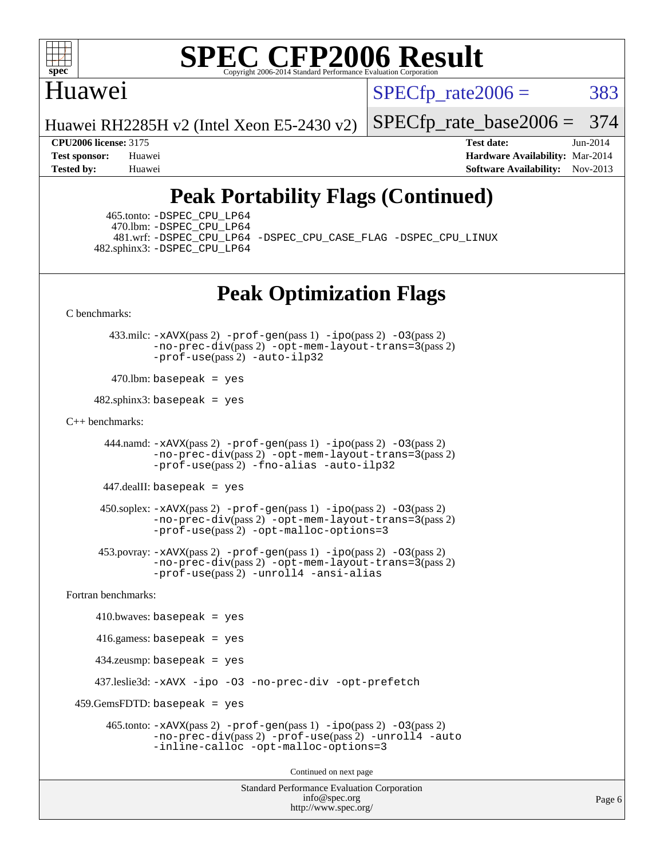

## Huawei

 $SPECTp\_rate2006 = 383$ 

Huawei RH2285H v2 (Intel Xeon E5-2430 v2)

[SPECfp\\_rate\\_base2006 =](http://www.spec.org/auto/cpu2006/Docs/result-fields.html#SPECfpratebase2006) 374

**[CPU2006 license:](http://www.spec.org/auto/cpu2006/Docs/result-fields.html#CPU2006license)** 3175 **[Test date:](http://www.spec.org/auto/cpu2006/Docs/result-fields.html#Testdate)** Jun-2014 **[Test sponsor:](http://www.spec.org/auto/cpu2006/Docs/result-fields.html#Testsponsor)** Huawei **[Hardware Availability:](http://www.spec.org/auto/cpu2006/Docs/result-fields.html#HardwareAvailability)** Mar-2014 **[Tested by:](http://www.spec.org/auto/cpu2006/Docs/result-fields.html#Testedby)** Huawei **[Software Availability:](http://www.spec.org/auto/cpu2006/Docs/result-fields.html#SoftwareAvailability)** Nov-2013

# **[Peak Portability Flags \(Continued\)](http://www.spec.org/auto/cpu2006/Docs/result-fields.html#PeakPortabilityFlags)**

 465.tonto: [-DSPEC\\_CPU\\_LP64](http://www.spec.org/cpu2006/results/res2014q3/cpu2006-20140625-30003.flags.html#suite_peakPORTABILITY465_tonto_DSPEC_CPU_LP64) 470.lbm: [-DSPEC\\_CPU\\_LP64](http://www.spec.org/cpu2006/results/res2014q3/cpu2006-20140625-30003.flags.html#suite_peakPORTABILITY470_lbm_DSPEC_CPU_LP64) 482.sphinx3: [-DSPEC\\_CPU\\_LP64](http://www.spec.org/cpu2006/results/res2014q3/cpu2006-20140625-30003.flags.html#suite_peakPORTABILITY482_sphinx3_DSPEC_CPU_LP64)

481.wrf: [-DSPEC\\_CPU\\_LP64](http://www.spec.org/cpu2006/results/res2014q3/cpu2006-20140625-30003.flags.html#suite_peakPORTABILITY481_wrf_DSPEC_CPU_LP64) [-DSPEC\\_CPU\\_CASE\\_FLAG](http://www.spec.org/cpu2006/results/res2014q3/cpu2006-20140625-30003.flags.html#b481.wrf_peakCPORTABILITY_DSPEC_CPU_CASE_FLAG) [-DSPEC\\_CPU\\_LINUX](http://www.spec.org/cpu2006/results/res2014q3/cpu2006-20140625-30003.flags.html#b481.wrf_peakCPORTABILITY_DSPEC_CPU_LINUX)

## **[Peak Optimization Flags](http://www.spec.org/auto/cpu2006/Docs/result-fields.html#PeakOptimizationFlags)**

```
C benchmarks:
```
 433.milc: [-xAVX](http://www.spec.org/cpu2006/results/res2014q3/cpu2006-20140625-30003.flags.html#user_peakPASS2_CFLAGSPASS2_LDFLAGS433_milc_f-xAVX)(pass 2) [-prof-gen](http://www.spec.org/cpu2006/results/res2014q3/cpu2006-20140625-30003.flags.html#user_peakPASS1_CFLAGSPASS1_LDFLAGS433_milc_prof_gen_e43856698f6ca7b7e442dfd80e94a8fc)(pass 1) [-ipo](http://www.spec.org/cpu2006/results/res2014q3/cpu2006-20140625-30003.flags.html#user_peakPASS2_CFLAGSPASS2_LDFLAGS433_milc_f-ipo)(pass 2) [-O3](http://www.spec.org/cpu2006/results/res2014q3/cpu2006-20140625-30003.flags.html#user_peakPASS2_CFLAGSPASS2_LDFLAGS433_milc_f-O3)(pass 2) [-no-prec-div](http://www.spec.org/cpu2006/results/res2014q3/cpu2006-20140625-30003.flags.html#user_peakPASS2_CFLAGSPASS2_LDFLAGS433_milc_f-no-prec-div)(pass 2) [-opt-mem-layout-trans=3](http://www.spec.org/cpu2006/results/res2014q3/cpu2006-20140625-30003.flags.html#user_peakPASS2_CFLAGS433_milc_f-opt-mem-layout-trans_a7b82ad4bd7abf52556d4961a2ae94d5)(pass 2) [-prof-use](http://www.spec.org/cpu2006/results/res2014q3/cpu2006-20140625-30003.flags.html#user_peakPASS2_CFLAGSPASS2_LDFLAGS433_milc_prof_use_bccf7792157ff70d64e32fe3e1250b55)(pass 2) [-auto-ilp32](http://www.spec.org/cpu2006/results/res2014q3/cpu2006-20140625-30003.flags.html#user_peakCOPTIMIZE433_milc_f-auto-ilp32)

 $470$ .lbm: basepeak = yes

 $482$ .sphinx3: basepeak = yes

#### [C++ benchmarks:](http://www.spec.org/auto/cpu2006/Docs/result-fields.html#CXXbenchmarks)

 444.namd: [-xAVX](http://www.spec.org/cpu2006/results/res2014q3/cpu2006-20140625-30003.flags.html#user_peakPASS2_CXXFLAGSPASS2_LDFLAGS444_namd_f-xAVX)(pass 2) [-prof-gen](http://www.spec.org/cpu2006/results/res2014q3/cpu2006-20140625-30003.flags.html#user_peakPASS1_CXXFLAGSPASS1_LDFLAGS444_namd_prof_gen_e43856698f6ca7b7e442dfd80e94a8fc)(pass 1) [-ipo](http://www.spec.org/cpu2006/results/res2014q3/cpu2006-20140625-30003.flags.html#user_peakPASS2_CXXFLAGSPASS2_LDFLAGS444_namd_f-ipo)(pass 2) [-O3](http://www.spec.org/cpu2006/results/res2014q3/cpu2006-20140625-30003.flags.html#user_peakPASS2_CXXFLAGSPASS2_LDFLAGS444_namd_f-O3)(pass 2) [-no-prec-div](http://www.spec.org/cpu2006/results/res2014q3/cpu2006-20140625-30003.flags.html#user_peakPASS2_CXXFLAGSPASS2_LDFLAGS444_namd_f-no-prec-div)(pass 2) [-opt-mem-layout-trans=3](http://www.spec.org/cpu2006/results/res2014q3/cpu2006-20140625-30003.flags.html#user_peakPASS2_CXXFLAGS444_namd_f-opt-mem-layout-trans_a7b82ad4bd7abf52556d4961a2ae94d5)(pass 2) [-prof-use](http://www.spec.org/cpu2006/results/res2014q3/cpu2006-20140625-30003.flags.html#user_peakPASS2_CXXFLAGSPASS2_LDFLAGS444_namd_prof_use_bccf7792157ff70d64e32fe3e1250b55)(pass 2) [-fno-alias](http://www.spec.org/cpu2006/results/res2014q3/cpu2006-20140625-30003.flags.html#user_peakCXXOPTIMIZE444_namd_f-no-alias_694e77f6c5a51e658e82ccff53a9e63a) [-auto-ilp32](http://www.spec.org/cpu2006/results/res2014q3/cpu2006-20140625-30003.flags.html#user_peakCXXOPTIMIZE444_namd_f-auto-ilp32)

447.dealII: basepeak = yes

 $450$ .soplex:  $-x$ AVX(pass 2)  $-p$ rof-gen(pass 1)  $-i$ po(pass 2)  $-03$ (pass 2) [-no-prec-div](http://www.spec.org/cpu2006/results/res2014q3/cpu2006-20140625-30003.flags.html#user_peakPASS2_CXXFLAGSPASS2_LDFLAGS450_soplex_f-no-prec-div)(pass 2) [-opt-mem-layout-trans=3](http://www.spec.org/cpu2006/results/res2014q3/cpu2006-20140625-30003.flags.html#user_peakPASS2_CXXFLAGS450_soplex_f-opt-mem-layout-trans_a7b82ad4bd7abf52556d4961a2ae94d5)(pass 2) [-prof-use](http://www.spec.org/cpu2006/results/res2014q3/cpu2006-20140625-30003.flags.html#user_peakPASS2_CXXFLAGSPASS2_LDFLAGS450_soplex_prof_use_bccf7792157ff70d64e32fe3e1250b55)(pass 2) [-opt-malloc-options=3](http://www.spec.org/cpu2006/results/res2014q3/cpu2006-20140625-30003.flags.html#user_peakOPTIMIZE450_soplex_f-opt-malloc-options_13ab9b803cf986b4ee62f0a5998c2238)

 453.povray: [-xAVX](http://www.spec.org/cpu2006/results/res2014q3/cpu2006-20140625-30003.flags.html#user_peakPASS2_CXXFLAGSPASS2_LDFLAGS453_povray_f-xAVX)(pass 2) [-prof-gen](http://www.spec.org/cpu2006/results/res2014q3/cpu2006-20140625-30003.flags.html#user_peakPASS1_CXXFLAGSPASS1_LDFLAGS453_povray_prof_gen_e43856698f6ca7b7e442dfd80e94a8fc)(pass 1) [-ipo](http://www.spec.org/cpu2006/results/res2014q3/cpu2006-20140625-30003.flags.html#user_peakPASS2_CXXFLAGSPASS2_LDFLAGS453_povray_f-ipo)(pass 2) [-O3](http://www.spec.org/cpu2006/results/res2014q3/cpu2006-20140625-30003.flags.html#user_peakPASS2_CXXFLAGSPASS2_LDFLAGS453_povray_f-O3)(pass 2) [-no-prec-div](http://www.spec.org/cpu2006/results/res2014q3/cpu2006-20140625-30003.flags.html#user_peakPASS2_CXXFLAGSPASS2_LDFLAGS453_povray_f-no-prec-div)(pass 2) [-opt-mem-layout-trans=3](http://www.spec.org/cpu2006/results/res2014q3/cpu2006-20140625-30003.flags.html#user_peakPASS2_CXXFLAGS453_povray_f-opt-mem-layout-trans_a7b82ad4bd7abf52556d4961a2ae94d5)(pass 2) [-prof-use](http://www.spec.org/cpu2006/results/res2014q3/cpu2006-20140625-30003.flags.html#user_peakPASS2_CXXFLAGSPASS2_LDFLAGS453_povray_prof_use_bccf7792157ff70d64e32fe3e1250b55)(pass 2) [-unroll4](http://www.spec.org/cpu2006/results/res2014q3/cpu2006-20140625-30003.flags.html#user_peakCXXOPTIMIZE453_povray_f-unroll_4e5e4ed65b7fd20bdcd365bec371b81f) [-ansi-alias](http://www.spec.org/cpu2006/results/res2014q3/cpu2006-20140625-30003.flags.html#user_peakCXXOPTIMIZE453_povray_f-ansi-alias)

[Fortran benchmarks](http://www.spec.org/auto/cpu2006/Docs/result-fields.html#Fortranbenchmarks):

```
410.bwaves: basepeak = yes 416.gamess: basepeak = yes
    434.zeusmp: basepeak = yes
    437.leslie3d: -xAVX -ipo -O3 -no-prec-div -opt-prefetch
459.GemsFDTD: basepeak = yes 465.tonto: -xAVX(pass 2) -prof-gen(pass 1) -ipo(pass 2) -O3(pass 2)
              -no-prec-div(pass 2) -prof-use(pass 2) -unroll4 -auto
              -inline-calloc -opt-malloc-options=3
                                      Continued on next page
```
Standard Performance Evaluation Corporation [info@spec.org](mailto:info@spec.org) <http://www.spec.org/>